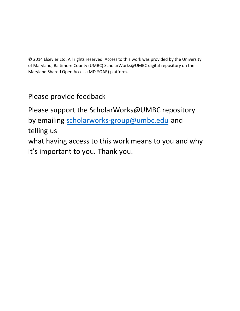© 2014 Elsevier Ltd. All rights reserved. Access to this work was provided by the University of Maryland, Baltimore County (UMBC) ScholarWorks@UMBC digital repository on the Maryland Shared Open Access (MD-SOAR) platform.

Please provide feedback

Please support the ScholarWorks@UMBC repository by emailing [scholarworks-group@umbc.edu](mailto:scholarworks-group@umbc.edu) and telling us what having access to this work means to you and why it's important to you. Thank you.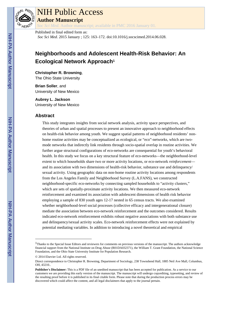

# NIH Public Access **Author Manuscript**

*Soc Sci Med*. Author manuscript; available in PMC 2016 January 01.

# Published in final edited form as:

*Soc Sci Med*. 2015 January ; 125: 163–172. doi:10.1016/j.socscimed.2014.06.028.

# **Neighborhoods and Adolescent Health-Risk Behavior: An Ecological Network Approach<sup>1</sup>**

**Christopher R. Browning**, The Ohio State University

**Brian Soller**, and University of New Mexico

**Aubrey L. Jackson** University of New Mexico

# **Abstract**

This study integrates insights from social network analysis, activity space perspectives, and theories of urban and spatial processes to present an innovative approach to neighborhood effects on health-risk behavior among youth. We suggest spatial patterns of neighborhood residents' nonhome routine activities may be conceptualized as ecological, or "eco"-networks, which are twomode networks that indirectly link residents through socio-spatial overlap in routine activities. We further argue structural configurations of eco-networks are consequential for youth's behavioral health. In this study we focus on a key structural feature of eco-networks—the neighborhood-level extent to which households share two or more activity locations, or eco-network *reinforcement* and its association with two dimensions of health-risk behavior, substance use and delinquency/ sexual activity. Using geographic data on non-home routine activity locations among respondents from the Los Angeles Family and Neighborhood Survey (L.A.FANS), we constructed neighborhood-specific eco-networks by connecting sampled households to "activity clusters," which are sets of spatially-proximate activity locations. We then measured eco-network reinforcement and examined its association with adolescent dimensions of health risk behavior employing a sample of 830 youth ages 12-17 nested in 65 census tracts. We also examined whether neighborhood-level social processes (collective efficacy and intergenerational closure) mediate the association between eco-network reinforcement and the outcomes considered. Results indicated eco-network reinforcement exhibits robust negative associations with both substance use and delinquency/sexual activity scales. Eco-network reinforcement effects were not explained by potential mediating variables. In addition to introducing a novel theoretical and empirical

<sup>1</sup>Thanks to the Special Issue Editors and reviewers for comments on previous versions of the manuscript. The authors acknowledge financial support from the National Institute on Drug Abuse (R01DA032371), the William T. Grant Foundation, the National Science Foundation, and the Ohio State University Institute for Population Research.

<sup>© 2014</sup> Elsevier Ltd. All rights reserved.

Direct correspondence to Christopher R. Browning, Department of Sociology, 238 Townshend Hall, 1885 Neil Ave Mall, Columbus, OH, 43210..

**Publisher's Disclaimer:** This is a PDF file of an unedited manuscript that has been accepted for publication. As a service to our customers we are providing this early version of the manuscript. The manuscript will undergo copyediting, typesetting, and review of the resulting proof before it is published in its final citable form. Please note that during the production process errors may be discovered which could affect the content, and all legal disclaimers that apply to the journal pertain.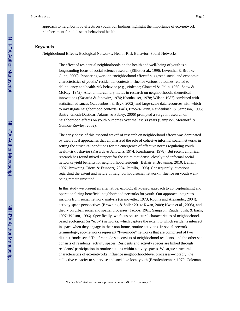### **Keywords**

Neighborhood Effects; Ecological Networks; Health-Risk Behavior; Social Networks

The effect of residential neighborhoods on the health and well-being of youth is a longstanding focus of social science research (Elliott et al., 1996; Leventhal & Brooks-Gunn, 2000). Pioneering work on "neighborhood effects" suggested social and economic characteristics of youths' residential contexts influence various outcomes related to delinquency and health-risk behavior (e.g., violence; Cloward & Ohlin, 1960; Shaw & McKay, 1942). After a mid-century hiatus in research on neighborhoods, theoretical innovations (Kasarda & Janowitz, 1974; Kornhauser, 1978; Wilson 1987) combined with statistical advances (Raudenbush & Bryk, 2002) and large-scale data resources with which to investigate neighborhood contexts (Earls, Brooks-Gunn, Raudenbush, & Sampson, 1995; Sastry, Ghosh-Dastidar, Adams, & Pebley, 2006) prompted a surge in research on neighborhood effects on youth outcomes over the last 30 years (Sampson, Morenoff, & Gannon-Rowley, 2002).

The early phase of this "second wave" of research on neighborhood effects was dominated by theoretical approaches that emphasized the role of cohesive informal social networks in setting the structural conditions for the emergence of effective norms regulating youth health-risk behavior (Kasarda & Janowitz, 1974; Kornhauser, 1978). But recent empirical research has found mixed support for the claim that dense, closely tied informal social networks yield benefits for neighborhood residents (Bellair & Browning, 2010; Bellair, 1997; Browning, Dietz, & Feinberg, 2004; Pattillo, 1998). Consequently, questions regarding the extent and nature of neighborhood social network influence on youth wellbeing remain unsettled.

In this study we present an alternative, ecologically-based approach to conceptualizing and operationalizing beneficial neighborhood networks for youth. Our approach integrates insights from social network analysis (Granovetter, 1973; Robins and Alexander, 2004), activity space perspectives (Browning & Soller 2014; Kwan, 2009; Kwan et al., 2008), and theory on urban social and spatial processes (Jacobs, 1961; Sampson, Raudenbush, & Earls, 1997; Wilson, 1996). Specifically, we focus on structural characteristics of neighborhoodbased ecological (or "eco-") networks, which capture the extent to which residents intersect in space when they engage in their non-home, routine activities. In social network terminology, eco-networks represent "two-mode" networks that are comprised of two distinct "node sets." The first node set consists of neighborhood residents, and the other set consists of residents' activity spaces. Residents and activity spaces are linked through residents' participation in routine actions within activity spaces. We argue structural characteristics of eco-networks influence neighborhood-level processes—notably, the collective capacity to supervise and socialize local youth (Bronfenbrenner, 1979; Coleman,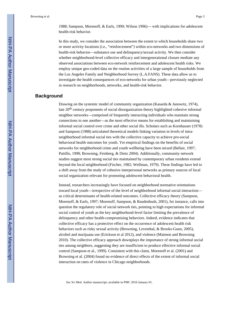1988; Sampson, Morenoff, & Earls, 1999; Wilson 1996)— with implications for adolescent health-risk behavior.

In this study, we consider the association between the extent to which households share two or more activity locations (i.e., "reinforcement") within eco-networks and two dimensions of health-risk behavior—substance use and delinquency/sexual activity. We then consider whether neighborhood-level collective efficacy and intergenerational closure mediate any observed associations between eco-network reinforcement and adolescent health risks. We employ unique geo-coded data on the routine activities of a large sample of households from the Los Angeles Family and Neighborhood Survey (L.A.FANS). These data allow us to investigate the health consequences of eco-networks for urban youth—previously neglected in research on neighborhoods, networks, and health-risk behavior.

# **Background**

Drawing on the systemic model of community organization (Kasarda & Janowitz, 1974), late 20<sup>th</sup> century proponents of social disorganization theory highlighted cohesive informal neighbor networks—comprised of frequently interacting individuals who maintain strong connections to one another—as the most effective means for establishing and maintaining informal social control over crime and other social ills. Scholars such as Kornhauser (1978) and Sampson (1988) articulated theoretical models linking variation in levels of intraneighborhood informal social ties with the collective capacity to achieve pro-social behavioral health outcomes for youth. Yet empirical findings on the benefits of social networks for neighborhood crime and youth wellbeing have been mixed (Bellair, 1997; Pattillo, 1998; Browning, Feinberg, & Dietz 2004). Additionally, community network studies suggest most strong social ties maintained by contemporary urban residents extend beyond the local neighborhood (Fischer, 1982; Wellman, 1979). These findings have led to a shift away from the study of cohesive interpersonal networks as primary sources of local social organization relevant for promoting adolescent behavioral health.

Instead, researchers increasingly have focused on neighborhood normative orientations toward local youth—irrespective of the level of neighborhood informal social interaction as critical determinants of health-related outcomes. Collective efficacy theory (Sampson, Morenoff, & Earls, 1997; Morenoff, Sampson, & Raudenbush, 2001), for instance, calls into question the regulatory role of social network ties, pointing to high expectations for informal social control of youth as the key neighborhood-level factor limiting the prevalence of delinquency and other health-compromising behaviors. Indeed, evidence indicates that collective efficacy has a protective effect on the occurrence of adolescent health risk behaviors such as risky sexual activity (Browning, Leventhal, & Brooks-Gunn, 2005), alcohol and marijuana use (Erickson et al 2012), and violence (Maimon and Browning 2010). The collective efficacy approach downplays the importance of strong informal social ties among neighbors, suggesting they are insufficient to produce effective informal social control (Sampson et al., 1999). Consistent with this claim, Morenoff et al. (2001) and Browning et al. (2004) found no evidence of direct effects of the extent of informal social interaction on rates of violence in Chicago neighborhoods.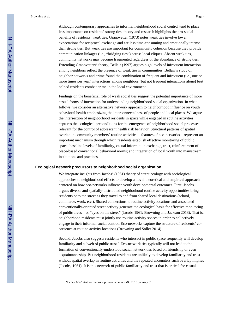Although contemporary approaches to informal neighborhood social control tend to place less importance on residents' strong ties, theory and research highlights the pro-social benefits of residents' *weak* ties. Granovetter (1973) notes weak ties involve lower expectations for reciprocal exchange and are less time-consuming and emotionally intense than strong ties. But weak ties are important for community cohesion because they provide communication linkages (i.e., "bridging ties") across local cliques. Absent weak ties, community networks may become fragmented regardless of the abundance of strong ties. Extending Granovetters' theory, Bellair (1997) argues high levels of infrequent interaction among neighbors reflect the presence of weak ties in communities. Bellair's study of neighbor networks and crime found the combination of frequent and infrequent (i.e., one or more times per year) interactions among neighbors (but not frequent interactions alone) best helped residents combat crime in the local environment.

Findings on the beneficial role of weak social ties suggest the potential importance of more casual forms of interaction for understanding neighborhood social organization. In what follows, we consider an alternative network approach to neighborhood influence on youth behavioral health emphasizing the interconnectedness of people and local places. We argue the intersection of neighborhood residents in space while engaged in routine activities captures the ecological preconditions for the emergence of neighborhood social processes relevant for the control of adolescent health risk behavior. Structural patterns of spatial overlap in community members' routine activities—features of eco-networks—represent an important mechanism through which residents establish effective monitoring of public space; baseline levels of familiarity, casual information exchange, trust, reinforcement of place-based conventional behavioral norms; and integration of local youth into mainstream institutions and practices.

#### **Ecological network precursors to neighborhood social organization**

We integrate insights from Jacobs' (1961) theory of street ecology with sociological approaches to neighborhood effects to develop a novel theoretical and empirical approach centered on how eco-networks influence youth developmental outcomes. First, Jacobs argues diverse and spatially-distributed neighborhood routine activity opportunities bring residents onto the street as they travel to and from shared local destinations (school, commerce, work, etc.). Shared connections to routine activity locations and associated conventionally-oriented street activity generate the ecological basis for effective monitoring of public areas—or "eyes on the street" (Jacobs 1961; Browning and Jackson 2013). That is, neighborhood residents must jointly use routine activity spaces in order to collectively engage in their informal social control. Eco-networks capture the structure of residents' copresence at routine activity locations (Browning and Soller 2014).

Second, Jacobs also suggests residents who intersect in public space frequently will develop familiarity and a "web of public trust." Eco-network ties typically will not lead to the formation of conventionally-understood social network ties based on friendship or even acquaintanceship. But neighborhood residents are unlikely to develop familiarity and trust without spatial overlap in routine activities and the repeated encounters such overlap implies (Jacobs, 1961). It is this network of public familiarity and trust that is critical for casual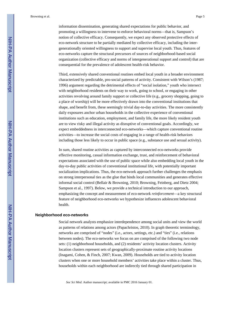information dissemination, generating shared expectations for public behavior, and promoting a willingness to intervene to enforce behavioral norms—that is, Sampson's notion of collective efficacy. Consequently, we expect any observed protective effects of eco-network structure to be partially mediated by collective efficacy, including the intergenerationally oriented willingness to support and supervise local youth. Thus, features of eco-networks capture the structural precursors of sources of neighborhood-based social organization (collective efficacy and norms of intergenerational support and control) that are consequential for the prevalence of adolescent health-risk behavior.

Third, extensively shared conventional routines embed local youth in a broader environment characterized by predictable, pro-social patterns of activity. Consistent with Wilson's (1987; 1996) argument regarding the detrimental effects of "social isolation," youth who intersect with neighborhood residents on their way to work, going to school, or engaging in other activities revolving around family support or collective life (e.g., grocery shopping, going to a place of worship) will be more effectively drawn into the conventional institutions that shape, and benefit from, these seemingly trivial day-to-day activities. The more consistently daily exposures anchor urban households in the collective experience of conventional institutions such as education, employment, and family life, the more likely resident youth are to view risky and illegal activity as disruptive of conventional goals. Accordingly, we expect embeddedness in interconnected eco-networks—which capture conventional routine activities—to increase the social costs of engaging in a range of health-risk behaviors including those less likely to occur in public space (e.g., substance use and sexual activity).

In sum, shared routine activities as captured by interconnected eco-networks provide effective monitoring, casual information exchange, trust, and reinforcement of behavioral expectations associated with the use of public space while also embedding local youth in the day-to-day public activities of conventional institutional life, with potentially important socialization implications. Thus, the eco-network approach further challenges the emphasis on strong interpersonal ties as the glue that binds local communities and generates effective informal social control (Bellair & Browning, 2010; Browning, Feinberg, and Dietz 2004; Sampson et al., 1997). Below, we provide a technical introduction to our approach, emphasizing the concept and measurement of eco-network *reinforcement*—a key structural feature of neighborhood eco-networks we hypothesize influences adolescent behavioral health.

#### **Neighborhood eco-networks**

Social network analysts emphasize interdependence among social units and view the world as patterns of relations among actors (Papachristos, 2010). In graph theoretic terminology, networks are comprised of "nodes" (i.e., actors, settings, etc.) and "ties" (i.e., relations between nodes). The eco-networks we focus on are comprised of the following two node sets: (1) neighborhood households, and (2) residents' activity location clusters. Activity location clusters represent sets of geographically-proximate routine activity locations (Inagami, Cohen, & Finch, 2007; Kwan, 2009). Households are tied to activity location clusters when one or more household members' activities take place within a cluster. Thus, households within each neighborhood are indirectly tied through shared participation in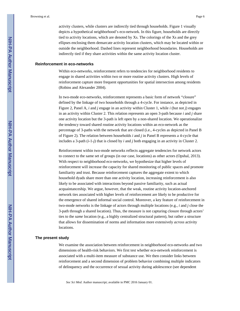activity clusters, while clusters are indirectly tied through households. Figure 1 visually depicts a hypothetical neighborhood's eco-network. In this figure, households are directly tied to activity locations, which are denoted by Xs. The colorings of the Xs and the grey ellipses enclosing them demarcate activity location clusters, which may be located within or outside the neighborhood. Dashed lines represent neighborhood boundaries. Households are indirectly tied if they share activities within the same activity location cluster.

#### **Reinforcement in eco-networks**

Within eco-networks, reinforcement refers to tendencies for neighborhood residents to engage in shared activities within two or more routine activity clusters. High levels of reinforcement capture more frequent opportunities for spatial intersection among residents (Robins and Alexander 2004).

In two-mode eco-networks, reinforcement represents a basic form of network "closure" defined by the linkage of two households through a 4-cycle. For instance, as depicted in Figure 2, Panel A, *i* and *j* engage in an activity within Cluster 1, while *i* (but not *j*) engages in an activity within Cluster 2. This relation represents an open 3-path because *i* and *j* share one activity location but the 3-path is left open by a non-shared location. We operationalize the tendency toward shared routine activity locations within an eco-network as the percentage of 3-paths with the network that are closed (i.e., 4-cycles as depicted in Panel B of Figure 2). The relation between households *i* and *j* in Panel B represents a 4-cycle that includes a 3-path  $(i-1-j)$  that is closed by *i* and *j* both engaging in an activity in Cluster 2.

Reinforcement within two-mode networks reflects aggregate tendencies for network actors to connect to the same set of groups (in our case, locations) as other actors (Opshal, 2013). With respect to neighborhood eco-networks, we hypothesize that higher levels of reinforcement will increase the capacity for shared monitoring of public spaces and promote familiarity and trust. Because reinforcement captures the aggregate extent to which household dyads share more than one activity location, increasing reinforcement is also likely to be associated with interactions beyond passive familiarity, such as actual acquaintanceship. We argue, however, that the weak, routine activity location-anchored network ties associated with higher levels of reinforcement are likely to be productive for the emergence of shared informal social control. Moreover, a key feature of reinforcement in two-mode networks is the linkage of actors through multiple locations (e.g., *i* and *j* close the 3-path through a shared location). Thus, the measure is not capturing closure through actors' ties to the *same* location (e.g., a highly centralized structural pattern), but rather a structure that allows for dissemination of norms and information more extensively *across* activity locations.

#### **The present study**

We examine the association between reinforcement in neighborhood eco-networks and two dimensions of health-risk behaviors. We first test whether eco-network reinforcement is associated with a multi-item measure of substance use. We then consider links between reinforcement and a second dimension of problem behavior combining multiple indicators of delinquency and the occurrence of sexual activity during adolescence (see dependent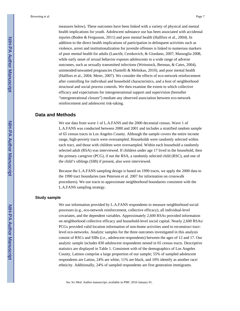measures below). These outcomes have been linked with a variety of physical and mental health implications for youth. Adolescent substance use has been associated with accidental injuries (Boden & Fergusson, 2011) and poor mental health (Hallfors et al., 2004). In addition to the direct health implications of participation in delinquent activities such as violence, arrest and institutionalization for juvenile offenses is linked to numerous markers of poor mental health for adults (Lanctôt, Cernkovich, & Giordano, 2007; Massoglia 2008, while early onset of sexual behavior exposes adolescents to a wide range of adverse outcomes, such as sexually transmitted infections (Weinstock, Berman, & Cates, 2004), unintended/unwanted pregnancies (Santelli & Melnikas, 2010), and poor mental health (Hallfors et al., 2004; Meier, 2007). We consider the effects of eco-network reinforcement after controlling for individual and household characteristics, and a host of neighborhood structural and social process controls. We then examine the extent to which collective efficacy and expectations for intergenerational support and supervision (hereafter "intergenerational closure") mediate any observed association between eco-network reinforcement and adolescent risk-taking.

# **Data and Methods**

We use data from wave 1 of L.A.FANS and the 2000 decennial census. Wave 1 of L.A.FANS was conducted between 2000 and 2001 and includes a stratified random sample of 65 census tracts in Los Angeles County. Although the sample covers the entire income range, high-poverty tracts were oversampled. Households were randomly selected within each tract, and those with children were oversampled. Within each household a randomly selected adult (RSA) was interviewed. If children under age 17 lived in the household, then the primary caregiver (PCG), if not the RSA, a randomly selected child (RSC), and one of the child's siblings (SIB) if present, also were interviewed.

Because the L.A.FANS sampling design is based on 1990 tracts, we apply the 2000 data to the 1990 tract boundaries (see Peterson et al. 2007 for information on crosswalk procedures). We use tracts to approximate neighborhood boundaries consistent with the L.A.FANS sampling strategy.

#### **Study sample**

We use information provided by L.A.FANS respondents to measure neighborhood social processes (e.g., eco-network reinforcement, collective efficacy), all individual-level covariates, and the dependent variables. Approximately 2,600 RSAs provided information on neighborhood collective efficacy and household-level social capital. Nearly 2,600 RSAs/ PCGs provided valid location information of non-home activities used to reconstruct tractlevel eco-networks. Analytic samples for the three outcomes investigated in this analysis consist of RSCs and SIBs (i.e., adolescent respondents) between the ages of 12 and 17. Our analytic sample includes 830 adolescent respondents nested in 65 census tracts. Descriptive statistics are displayed in Table 1. Consistent with of the demographics of Los Angeles County, Latinos comprise a large proportion of our sample; 55% of sampled adolescent respondents are Latino, 24% are white, 11% are black, and 10% identify as another race/ ethnicity. Additionally, 24% of sampled respondents are first generation immigrants.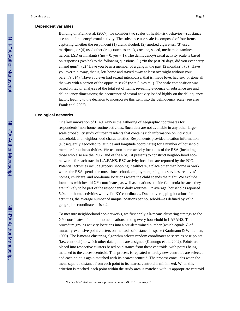#### **Dependent variables**

Building on Frank et al. (2007), we consider two scales of health-risk behavior—substance use and delinquency/sexual activity. The substance use scale is composed of four items capturing whether the respondent (1) drank alcohol, (2) smoked cigarettes, (3) used marijuana, or (4) used other drugs (such as crack, cocaine, speed, methamphetamines, heroin, LSD or inhalants) ( $no = 0$ ,  $yes = 1$ ). The delinquency/sexual activity scale is based on responses (yes/no) to the following questions: (1) "In the past 30 days, did you ever carry a hand gun?", (2) "Have you been a member of a gang in the past 12 months?", (3) "Have you ever run away, that is, left home and stayed away at least overnight without your parent's", (4) "Have you ever had sexual intercourse, that is, made love, had sex, or gone all the way with a person of the opposite sex?" (no = 0, yes = 1). The scale composition was based on factor analyses of the total set of items, revealing evidence of substance use and delinquency dimensions; the occurrence of sexual activity loaded highly on the delinquency factor, leading to the decision to incorporate this item into the delinquency scale (see also Frank et al 2007).

#### **Ecological networks**

One key innovation of L.A.FANS is the gathering of geographic coordinates for respondents' non-home routine activities. Such data are not available in any other largescale probability study of urban residents that contains rich information on individual, household, and neighborhood characteristics. Respondents provided location information (subsequently geocoded to latitude and longitude coordinates) for a number of household members' routine activities. We use non-home activity locations of the RSA (including those who also are the PCG) and of the RSC (if present) to construct neighborhood econetworks for each tract in L.A.FANS. RSC activity locations are reported by the PCG. Potential activities include grocery shopping, healthcare, a place other than home or work where the RSA spends the most time, school, employment, religious services, relatives' homes, childcare, and non-home locations where the child spends the night. We exclude locations with invalid XY coordinates, as well as locations outside California because they are unlikely to be part of the respondents' daily routines. On average, households reported 5.04 non-home activities with valid XY coordinates. Due to overlapping locations for activities, the average number of unique locations per household—as defined by valid geographic coordinates—is 4.2.

To measure neighborhood eco-networks, we first apply a k-means clustering strategy to the XY coordinates of all non-home locations among every household in LAFANS. This procedure groups activity locations into a pre-determined number (which equals *k*) of mutually-exclusive point clusters on the basis of distance in space (Kaufmann & Whiteman, 1999). The k-means clustering algorithm selects random coordinates to serve as base points (i.e., centroids) to which other data points are assigned (Kanungo et al., 2002). Points are placed into respective clusters based on distance from these centroids, with points being matched to the closest centroid. This process is repeated whereby new centroids are selected and each point is again matched with its nearest centroid. The process concludes when the mean squared distance from each point to its nearest centroid is minimized. When this criterion is reached, each point within the study area is matched with its appropriate centroid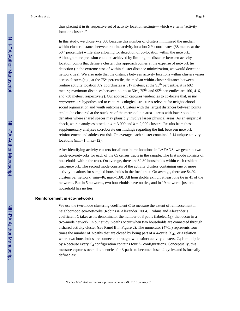thus placing it in its respective set of activity location settings—which we term "activity location clusters."

In this study, we chose  $k=2,500$  because this number of clusters minimized the median within-cluster distance between routine activity location XY coordinates (38 meters at the 50th percentile) while also allowing for detection of co-location within the network. Although more precision could be achieved by limiting the distance between activity location points that define a cluster, this approach comes at the expense of network tie detection (in the extreme case of within cluster distance minimization, we would detect no network ties). We also note that the distance between activity locations within clusters varies across clusters (e.g., at the  $75<sup>th</sup>$  percentile, the median within-cluster distance between routine activity location XY coordinates is 317 meters; at the  $95<sup>th</sup>$  percentile, it is 602 meters; maximum distances between points at  $50<sup>th</sup>$ ,  $75<sup>th</sup>$ , and  $95<sup>th</sup>$  percentiles are 160, 416, and 738 meters, respectively). Our approach captures tendencies to co-locate that, *in the aggregate,* are hypothesized to capture ecological structures relevant for neighborhood social organization and youth outcomes. Clusters with the largest distances between points tend to be clustered at the outskirts of the metropolitan area—areas with lower population densities where shared spaces may plausibly involve larger physical areas. As an empirical check, we ran analyses based on  $k = 3,000$  and  $k = 2,000$  clusters. Results from these supplementary analyses corroborate our findings regarding the link between network reinforcement and adolescent risk. On average, each cluster contained 2.14 unique activity locations (min=1, max=12).

After identifying activity clusters for all non-home locations in LAFANS, we generate twomode eco-networks for each of the 65 census tracts in the sample. The first mode consists of households within the tract. On average, there are 39.80 households within each residential tract-network. The second mode consists of the activity clusters containing one or more activity locations for sampled households in the focal tract. On average, there are 84.92 clusters per network (min=46, max=139). All households exhibit at least one tie in 41 of the networks. But in 5 networks, two households have no ties, and in 19 networks just one household has no ties.

### **Reinforcement in eco-networks**

We use the two-mode clustering coefficient *C* to measure the extent of reinforcement in neighborhood eco-networks (Robins & Alexander, 2004). Robins and Alexander's coefficient *C* takes as its denominator the number of 3 paths (labeled  $L_3$ ), that occur in a two-mode network. In our study 3-paths occur when two households are connected through a shared activity cluster (see Panel B in Figure 2). The numerator  $(4*C_4)$  represents four times the number of 3-paths that are closed by being part of a 4-cycle  $(C_4)$ , or a relation where two households are connected through two distinct activity clusters.  $C_4$  is multiplied by 4 because every  $C_4$  configuration contains four  $L_3$  configurations. Conceptually, this measure captures overall tendencies for 3-paths to become closed 4-cycles and is formally defined as: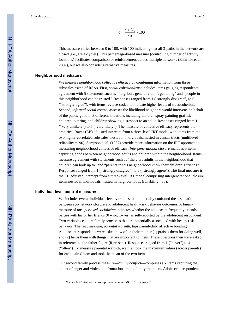$$
C = \frac{4*C_4}{L_3} * 100
$$

This measure varies between 0 to 100, with 100 indicating that all 3-paths in the network are closed (i.e., are 4-cycles). This percentage-based measure (controlling number of activity locations) facilitates comparison of reinforcement across multiple networks (Entwisle et al 2007), but we also consider alternative measures.

#### **Neighborhood mediators**

We measure *neighborhood collective efficacy* by combining information from three subscales asked of RSAs. First, *social cohesion/trust* includes items gauging respondents' agreement with 5 statements such as "neighbors generally don't get along" and "people in this neighborhood can be trusted." Responses ranged from 1 ("strongly disagree") to 5 ("strongly agree"), with items reverse-coded to indicate higher levels of trust/cohesion. Second, *informal social control* assesses the likelihood neighbors would intervene on behalf of the public good in 3 different situations including children spray-painting graffiti, children loitering, and children showing disrespect to an adult. Responses ranged from 1 ("very unlikely") to 5 ("very likely"). The measure of collective efficacy represents the empirical Bayes (EB) adjusted intercept from a three-level IRT model with items from the two highly-correlated subscales, nested in individuals, nested in census tracts (multilevel reliability = .90). Sampson et al. (1997) provide more information on the IRT approach to measuring neighborhood collective efficacy. *Intergenerational closure* includes 5 items capturing bonds between neighborhood adults and children within the neighborhood. Items measure agreement with statements such as "there are adults in the neighborhood that children can look up to" and "parents in this neighborhood know their children's friends." Responses ranged from 1 ("strongly disagree") to 5 ("strongly agree"). The final measure is the EB adjusted intercept from a three-level IRT model comprising intergenerational closure items nested in individuals, nested in neighborhoods (reliability=.85).

#### **Individual-level control measures**

We include several individual-level variables that potentially confound the association between eco-network closure and adolescent health-risk behavior outcomes. A binary measure of *unsupervised socializing* indicates whether the adolescent frequently attends parties with his or her friends  $(0 = no, 1 = yes, as self-reported by the adolescent respondent).$ Two variables capture family processes that are potentially associated with health-risk behavior. The first measure, *parental warmth,* taps parent-child affective bonding. Adolescent respondents were asked how often their mother (1) praises them for doing well, and (2) helps them with things that are important to them. These questions then were asked in reference to the father figure (if present). Responses ranged from 1 ("never") to 4 ("often"). To measure parental warmth, we first took the maximum values (across parents) for each paired item and took the mean of the two items.

Our second family process measure—*family conflict*—comprises six items capturing the extent of anger and violent confrontation among family members. Adolescent respondents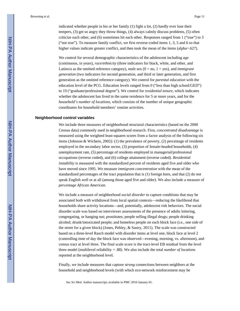indicated whether people in his or her family (1) fight a lot, (2) hardly ever lose their tempers, (3) get so angry they throw things, (4) always calmly discuss problems, (5) often criticize each other, and (6) sometimes hit each other. Responses ranged from 1 ("true") to 3 ("not true"). To measure family conflict, we first reverse-coded items 1, 3, 5 and 6 so that higher values indicate greater conflict, and then took the mean of the items (alpha=.627).

We control for several demographic characteristics of the adolescent including *age*  (continuous, in years), *race/ethnicity* (three indicators for black, white, and other, and Latino/a as the omitted reference category), *male* sex  $(0 = no, 1 = yes)$ , and *immigrant generation* (two indicators for second generation, and third or later generation, and first generation as the omitted reference category). We control for *parental education* with the education level of the PCG. Education levels ranged from 0 ("less than high school/GED") to 19 ("graduate/professional degree"). We control for *residential tenure*, which indicates whether the adolescent has lived in the same residence for 5 or more years, and for the *household's number of locations*, which consists of the number of unique geographic coordinates for household members' routine activities.

#### **Neighborhood control variables**

We include three measures of neighborhood structural characteristics (based on the 2000 Census data) commonly used in neighborhood research. First, *concentrated disadvantage* is measured using the weighted least-squares scores from a factor analysis of the following six items (Johnson & Wichern, 2002): (1) the prevalence of poverty, (2) percentage of residents employed in the secondary labor sector, (3) proportion of female-headed households, (4) unemployment rate, (5) percentage of residents employed in managerial/professional occupations (reverse coded), and (6) college attainment (reverse coded). *Residential instability* is measured with the standardized percent of residents aged five and older who have moved since 1995. We measure *immigrant concentration* with the mean of the standardized percentages of the tract population that is (1) foreign born, and that (2) do not speak English well or at all (among those aged five and older). We also include a measure of *percentage African American.*

We include a measure of neighborhood *social disorder* to capture conditions that may be associated both with withdrawal from local spatial contexts—reducing the likelihood that households share activity locations—and, potentially, adolescent risk behaviors. The social disorder scale was based on interviewer assessments of the presence of adults loitering, congregating, or hanging out; prostitutes; people selling illegal drugs; people drinking alcohol; drunk/intoxicated people; and homeless people on each block face (i.e., one side of the street for a given block) (Jones, Pebley, & Sastry, 2011). The scale was constructed based on a three-level Rasch model with disorder items at level one, block face at level 2 (controlling time of day the block face was observed—evening, morning, vs. afternoon), and census tract at level three. The final scale score is the tract-level EB residual from the level three model (multilevel reliability = .88). We also include the total *number of locations*  reported at the neighborhood level.

Finally, we include measures that capture *strong* connections between neighbors at the household and neighborhood levels (with which eco-network reinforcement may be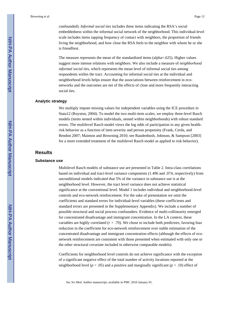confounded). *Informal social ties* includes three items indicating the RSA's social embeddedness within the informal social network of the neighborhood. This individual-level scale includes items tapping frequency of contact with neighbors, the proportion of friends living the neighborhood, and how close the RSA feels to the neighbor with whom he or she is friendliest.

The measure represents the mean of the standardized items (alpha=.625). Higher values suggest more intense relations with neighbors. We also include a measure of *neighborhood informal social ties*, which represents the mean level of informal social ties among respondents within the tract. Accounting for informal social ties at the individual and neighborhood levels helps ensure that the associations between reinforcement in econetworks and the outcomes are net of the effects of close and more frequently interacting social ties.

#### **Analytic strategy**

We multiply impute missing values for independent variables using the ICE procedure in Stata12 (Royston, 2004). To model the two multi-item scales, we employ three-level Rasch models (items nested within individuals, nested within neighborhoods) with robust standard errors. The multilevel Rasch model views the log odds of participation in any given healthrisk behavior as a function of item severity and person propensity (Frank, Cerda, and Rendon 2007; Maimon and Browning 2010; see Raudenbush, Johnson, & Sampson [2003] for a more extended treatment of the multilevel Rasch model as applied to risk behavior).

# **Results**

#### **Substance use**

Multilevel Rasch models of substance use are presented in Table 2. Intra-class correlations based on individual and tract-level variance components (1.496 and .074, respectively) from unconditional models indicated that 5% of the variance in substance use is at the neighborhood level. However, the tract level variance does not achieve statistical significance at the conventional level. Model 1 includes individual and neighborhood-level controls and eco-network reinforcement. For the sake of presentation we omit the coefficients and standard errors for individual-level variables (these coefficients and standard errors are presented in the Supplementary Appendix). We include a number of possible structural and social process confounders. Evidence of multi-collinearity emerged for concentrated disadvantage and immigrant concentration. In the LA context, these variables are highly correlated  $(r > .70)$ . We chose to include both predictors, favoring bias reduction in the coefficient for eco-network reinforcement over stable estimation of the concentrated disadvantage and immigrant concentration effects (although the effects of econetwork reinforcement are consistent with those presented when estimated with only one or the other structural covariate included in otherwise comparable models).

Coefficients for neighborhood level controls do not achieve significance with the exception of a significant negative effect of the total number of activity locations reported at the neighborhood level ( $p < .05$ ) and a positive and marginally significant ( $p < .10$ ) effect of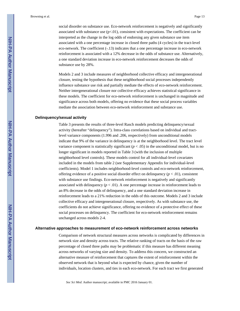social disorder on substance use. Eco-network reinforcement is negatively and significantly associated with substance use  $(p<0.01)$ , consistent with expectations. The coefficient can be interpreted as the change in the log odds of endorsing any given substance use item associated with a one percentage increase in closed three paths (4 cycles) in the tract-level eco-network. The coefficient (-.13) indicates that a one percentage increase in eco-network reinforcement is associated with a 12% decrease in the odds of substance use. Alternatively, a one standard deviation increase in eco-network reinforcement decreases the odds of substance use by 28%.

Models 2 and 3 include measures of neighborhood collective efficacy and intergenerational closure, testing the hypothesis that these neighborhood social processes independently influence substance use risk and partially mediate the effects of eco-network reinforcement. Neither intergenerational closure nor collective efficacy achieves statistical significance in these models. The coefficient for eco-network reinforcement is unchanged in magnitude and significance across both models, offering no evidence that these social process variables mediate the association between eco-network reinforcement and substance use.

#### **Delinquency/sexual activity**

Table 3 presents the results of three-level Rasch models predicting delinquency/sexual activity (hereafter "delinquency"). Intra-class correlations based on individual and tractlevel variance components (1.996 and .206, respectively) from unconditional models indicate that 9% of the variance in delinquency is at the neighborhood level. The tract level variance component is statistically significant  $(p < .05)$  in the unconditional model, but is no longer significant in models reported in Table 3 (with the inclusion of multiple neighborhood level controls). These models control for all individual-level covariates included in the models from table 2 (see Supplementary Appendix for individual-level coefficients). Model 1 includes neighborhood-level controls and eco-network reinforcement, offering evidence of a positive social disorder effect on delinquency  $(p < .01)$ , consistent with substance use findings. Eco-network reinforcement is negatively and significantly associated with delinquency  $(p < .01)$ . A one percentage increase in reinforcement leads to an 8% decrease in the odds of delinquency, and a one standard deviation increase in reinforcement leads to a 21% reduction in the odds of this outcome. Models 2 and 3 include collective efficacy and intergenerational closure, respectively. As with substance use, the coefficients do not achieve significance, offering no evidence of a protective effect of these social processes on delinquency. The coefficient for eco-network reinforcement remains unchanged across models 2-4.

#### **Alternative approaches to measurement of eco-network reinforcement across networks**

Comparison of network structural measures across networks is complicated by differences in network size and density across tracts. The relative ranking of tracts on the basis of the raw percentage of closed three paths may be problematic if this measure has different meaning across networks of varying size and density. To address this concern, we constructed an alternative measure of reinforcement that captures the extent of reinforcement within the observed network that is beyond what is expected by chance, given the number of individuals, location clusters, and ties in each eco-network. For each tract we first generated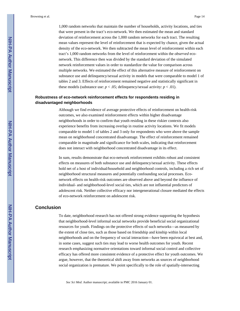1,000 random networks that maintain the number of households, activity locations, and ties that were present in the tract's eco-network. We then estimated the mean and standard deviation of reinforcement across the 1,000 random networks for each tract. The resulting mean values represent the level of reinforcement that is expected by chance, given the actual density of the eco-network. We then subtracted the mean level of reinforcement within each tract's 1,000 random networks from the level of reinforcement within the *observed* econetwork. This difference then was divided by the standard deviation of the simulated network reinforcement values in order to standardize the value for comparison across multiple networks. We estimated the effect of this alternative measure of reinforcement on substance use and delinquency/sexual activity in models that were comparable to model 1 of tables 2 and 3. Effects of reinforcement remained negative and statistically significant in these models (substance use:  $p < .05$ ; delinquency/sexual activity:  $p < .01$ ).

# **Robustness of eco-network reinforcement effects for respondents residing in disadvantaged neighborhoods**

Although we find evidence of average protective effects of reinforcement on health-risk outcomes, we also examined reinforcement effects within higher disadvantage neighborhoods in order to confirm that youth residing in these riskier contexts also experience benefits from increasing overlap in routine activity locations. We fit models comparable to model 1 of tables 2 and 3 only for respondents who were above the sample mean on neighborhood concentrated disadvantage. The effect of reinforcement remained comparable in magnitude and significance for both scales, indicating that reinforcement does not interact with neighborhood concentrated disadvantage in its effect.

In sum, results demonstrate that eco-network reinforcement exhibits robust and consistent effects on measures of both substance use and delinquency/sexual activity. These effects hold net of a host of individual/household and neighborhood controls, including a rich set of neighborhood structural measures and potentially confounding social processes. Econetwork effects on health-risk outcomes are observed above and beyond the influence of individual- and neighborhood-level social ties, which are not influential predictors of adolescent risk. Neither collective efficacy nor intergenerational closure mediated the effects of eco-network reinforcement on adolescent risk.

# **Conclusion**

To date, neighborhood research has not offered strong evidence supporting the hypothesis that neighborhood-level informal social networks provide beneficial social organizational resources for youth. Findings on the protective effects of such networks—as measured by the extent of close ties, such as those based on friendship and kinship within local neighborhoods and on the frequency of social interaction—have been equivocal at best and, in some cases, suggest such ties may lead to worse health outcomes for youth. Recent research emphasizing normative orientations toward informal social control and collective efficacy has offered more consistent evidence of a protective effect for youth outcomes. We argue, however, that the theoretical shift away from networks as sources of neighborhood social organization is premature. We point specifically to the role of spatially-intersecting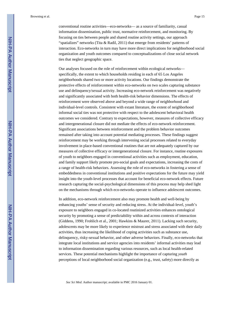conventional routine activities—eco-networks— as a source of familiarity, casual information dissemination, public trust, normative reinforcement, and monitoring. By focusing on ties between people and shared routine activity settings, our approach "spatializes" networks (Tita & Radil, 2011) that emerge from residents' patterns of interaction. Eco-networks in turn may have more direct implications for neighborhood social organization and youth outcomes compared to conceptualizations of close social network ties that neglect geographic space.

Our analyses focused on the role of reinforcement within ecological networks specifically, the extent to which households residing in each of 65 Los Angeles neighborhoods shared two or more activity locations. Our findings demonstrate the protective effects of reinforcement within eco-networks on two scales capturing substance use and delinquency/sexual activity. Increasing eco-network reinforcement was negatively and significantly associated with both health-risk behavior dimensions. The effects of reinforcement were observed above and beyond a wide range of neighborhood and individual-level controls. Consistent with extant literature, the extent of neighborhood informal social ties was not protective with respect to the adolescent behavioral health outcomes we considered. Contrary to expectations, however, measures of collective efficacy and intergenerational closure did not mediate the effects of eco-network reinforcement. Significant associations between reinforcement and the problem behavior outcomes remained after taking into account potential mediating processes. These findings suggest reinforcement may be working through intervening social processes related to everyday involvement in place-based conventional routines that are not adequately captured by our measures of collective efficacy or intergenerational closure. For instance, routine exposures of youth to neighbors engaged in conventional activities such as employment, education, and family support likely promote pro-social goals and expectations, increasing the costs of a range of health-risk behaviors. Assessing the role of eco-networks in fostering a sense of embeddedness in conventional institutions and positive expectations for the future may yield insight into the youth-level processes that account for beneficial eco-network effects. Future research capturing the social-psychological dimensions of this process may help shed light on the mechanisms through which eco-networks operate to influence adolescent outcomes.

In addition, eco-network reinforcement also may promote health and well-being by enhancing youths' sense of security and reducing stress. At the individual-level, youth's exposure to neighbors engaged in co-located routinized activities enhances ontological security by promoting a sense of predictability within and across contexts of interaction (Giddens, 1990; Frohlich et al., 2001; Hawkins & Maurer, 2011). Lacking such security, adolescents may be more likely to experience mistrust and stress associated with their daily activities, thus increasing the likelihood of coping activities such as substance use, delinquency, risky-sexual behavior, and other adverse behaviors. Finally, eco-networks that integrate local institutions and service agencies into residents' informal activities may lead to information dissemination regarding various resources, such as local health-related services. These potential mechanisms highlight the importance of capturing *youth*  perceptions of local neighborhood social organization (e.g., trust, safety) more directly as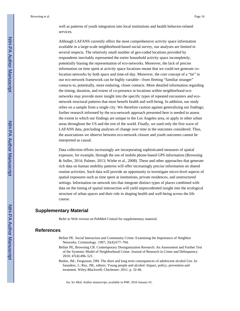well as patterns of youth integration into local institutions and health behavior-related services.

Although LAFANS currently offers the most comprehensive activity space information available in a large-scale neighborhood-based social survey, our analyses are limited in several respects. The relatively small number of geo-coded locations provided by respondents inevitably represented the entire household activity space incompletely, potentially biasing the representation of eco-networks. Moreover, the lack of precise information on time spent at activity space locations meant that we could not generate colocation networks by both space and time-of-day. Moreover, the core concept of a "tie" in our eco-network framework can be highly variable—from fleeting "familiar stranger" contacts to, potentially, more enduring, closer contacts. More detailed information regarding the timing, duration, and extent of co-presence at locations within neighborhood econetworks may provide more insight into the specific types of repeated encounters and econetwork structural patterns that most benefit health and well-being. In addition, our study relies on a sample from a single city. We therefore caution against generalizing our findings; further research informed by the eco-network approach presented here is needed to assess the extent to which our findings are unique to the Los Angeles area, or apply to other urban areas throughout the US and the rest of the world. Finally, we used only the first wave of LAFANS data, precluding analyses of change over time in the outcomes considered. Thus, the associations we observe between eco-network closure and youth outcomes cannot be interpreted as causal.

Data collection efforts increasingly are incorporating sophisticated measures of spatial exposure, for example, through the use of mobile phone-based GPS information (Browning & Soller, 2014; Palmer, 2013; Wiehe et al., 2008). These and other approaches that generate rich data on human mobility patterns will offer increasingly precise information on shared routine activities. Such data will provide an opportunity to investigate micro-level aspects of spatial exposures such as time spent at institutions, private residences, and unstructured settings. Information on network ties that integrate distinct types of places combined with data on the timing of spatial intersection will yield unprecedented insight into the ecological structure of urban spaces and their role in shaping health and well-being across the life course.

# **Supplementary Material**

Refer to Web version on PubMed Central for supplementary material.

#### **References**

- Bellair PE. Social Interaction and Community Crime: Examining the Importance of Neighbor Networks. Criminology. 1997; 35(4):677–704.
- Bellair PE, Browning CR. Contemporary Disorganization Research: An Assessment and Further Test of the Systemic Model of Neighborhood Crime. Journal of Research in Crime and Delinquency. 2010; 47(4):496–521.
- Boden, JM.; Fergusson, DM. The short and long term consequences of adolescent alcohol Use. In: Saunders, J.; Rey, JM., editors. Young people and alcohol: Impact, policy, prevention and treatment. Wiley-Blackwell; Chichester: 2011. p. 32-46.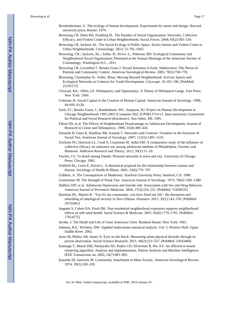- Bronfenbrenner, U. The ecology of human development: Experiments by nature and design. Harvard university press; Boston: 1979.
- Browning CR, Dietz RD, Feinberg SL. The Paradox of Social Organization: Networks, Collective Efficacy, and Violent Crime in Urban Neighborhoods. Social Forces. 2004; 83(2):503–534.
- Browning CR, Jackson AL. The Social Ecology of Public Space: Active Streets and Violent Crime in Urban Neighborhoods. Criminology. 2013; 51:795–1043.
- Browning, CR.; Jackson, AL.; Soller, B.; Krivo, L.; Peterson, RD. Ecological Community and Neighborhood Social Organization; Presented at the Annual Meetings of the American Society of Criminology; Washington D.C.. 2011.
- Browning CR, Leventhal T, Brooks-Gunn J. Sexual Initiation in Early Adolescence: The Nexus of Parental and Community Control. American Sociological Review. 2005; 70(5):758–778.
- Browning, Christopher R.; Soller, Brian. Moving Beyond Neighborhood: Activity Spaces and Ecological Networks as Contexts for Youth Development. Cityscape. 16:165–196. [PubMed: 25105172]
- Cloward, RA.; Ohlin, LE. Delinquency and Opportunity: A Theory of Delinquent Gangs. Free Press; New York: 1960.
- Coleman JS. Social Capital in the Creation of Human Capital. American Journal of Sociology. 1988; 94:S95–S120.
- Earls, FJ.; Brooks-Gunn, J.; Raudenbush, SW.; Sampson, RJ. Project on Human Development in Chicago Neighborhoods 1995-2002 [Computer file]. ICPSR13714-v1. Inter-university Consortium for Political and Social Research [distributor]; Ann Arbor, MI: 1995.
- Elliott DS, et al. The Effects of Neighborhood Disadvantage on Adolescent Development. Journal of Research in Crime and Delinquency. 1996; 33(4):389–426.
- Entwisle B, Faust K, Rindfuss RR, Kaneda T. Networks and Contexts: Variation in the Structure of Social Ties. American Journal of Sociology. 2007; 112(5):1495–1533.
- Erickson PG, Harrison LL, Cook S, Cousineau M, Adlaf EM. A comparative study of the influence of collective efficacy on substance use among adolescent students in Philadelphia, Toronto, and Montreal. Addiction Research and Theory. 2012; 20(1):11–20.
- Fischer, CS. To dwell among friends: Personal networks in town and city. University of Chicago Press; Chicago: 1982.
- Frohlich KL, Corin E, Potvin L. A theoretical proposal for the relationship between context and disease. Sociology of Health & Illness. 2001; 23(6):776–797.
- Giddens, A. The Consequences of Modernity. Stanford University Press; Stanford, CA: 1990.
- Granovetter M. The Strength of Weak Ties. American Journal of Sociology. 1973; 78(6):1360–1380.
- Hallfors DD, et al. Adolescent Depression and Suicide risk: Association with Sex and Drug Behavior. American Journal of Preventive Medicine. 2004; 27(3):224–231. [PubMed: 15450635]
- Hawkins RL, Maurer K. 'You fix my community, you have fixed my life': the disruption and rebuilding of ontological security in New Orleans. Disasters. 2011; 35(1):143–159. [PubMed: 20735461]
- Inagami S, Cohen DA, Finch BK. Non-residential neighborhood exposures suppress neighborhood effects on self-rated health. Social Science & Medicine. 2007; 65(8):1779–1791. [PubMed: 17614175]
- Jacobs, J. The Death and Life of Great American Cities. Random House; New York: 1961.
- Johnson, RA.; Wichern, DW. Applied multivariate statistical analysis. Vol. 5. Prentice Hall; Upper Saddle River: 2002.
- Jones M, Pebley AR, Sastry N. Eyes on the block: Measuring urban physical disorder through inperson observation. Social Science Research. 2011; 40(2):523–537. [PubMed: 21643484]
- Kanungo T, Mount DM, Netanyahu NS, Piatko CD, Silverman R, Wu AY. An efficient k-means clustering algorithm: Analysis and implementation. Pattern Analysis and Machine Intelligence, IEEE Transactions on. 2002; 24(7):881–892.
- Kasarda JD, Janowitz M. Community Attachment in Mass Society. American Sociological Review. 1974; 39(3):328–339.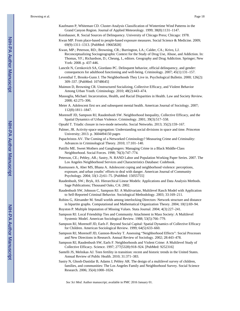- Kaufmann P, Whiteman CD. Cluster-Analysis Classification of Wintertime Wind Patterns in the Grand Canyon Region. Journal of Applied Meteorology. 1999; 38(8):1131–1147.
- Kornhauser, R. Social Sources of Delinquency. University of Chicago Press; Chicago: 1978.
- Kwan MP. From place-based to people-based exposure measures. Social Science & Medicine. 2009; 69(9):1311–1313. [PubMed: 19665828]
- Kwan, MP.; Peterson, RD.; Browning, CR.; Burrington, LA.; Calder, CA.; Krivo, LJ. Reconceptualizing Sociogeographic Context for the Study of Drug Use, Abuse, and Addiction. In: Thomas, YF.; Richardson, D.; Cheung, I., editors. Geography and Drug Addiction. Springer; New York: 2008. p. 437-446.
- Lanctôt N, Cernkovich SA, Giordano PC. Delinquent behavior, official delinquency, and gender: consequences for adulthood functioning and well-being. Criminology. 2007; 45(1):131–157.
- Leventhal T, Brooks-Gunn J. The Neighborhoods They Live in. Psychological Bulletin. 2000; 126(2): 309–337. [PubMed: 10748645]
- Maimon D, Browning CR. Unstructured Socializing, Collective Efficacy, and Violent Behavior Among Urban Youth. Criminology. 2010; 48(2):443–474.
- Massoglia, Michael. Incarceration, Health, and Racial Disparities in Health. Law and Society Review. 2008; 42:275–306.
- Meier A. Adolescent first sex and subsequent mental health. American Journal of Sociology. 2007; 112(8):1811–1847.
- Morenoff JD, Sampson RJ, Raudenbush SW. Neighborhood Inequality, Collective Efficacy, and the Spatial Dynamics of Urban Violence. Criminology. 2001; 39(3):517–558.
- Opsahl T. Triadic closure in two-mode networks. Social Networks. 2013; 35(2):159–167.
- Palmer, JR. Activity-space segregation: Understanding social divisions in space and time. Princeton University; 2013. p. 3604494150 pages
- Papachristos AV. The Coming of a Networked Criminology? Measuring Crime and Criminality: Advances in Criminological Theory. 2010; 17:101–140.
- Pattillo ME. Sweet Mothers and Gangbangers: Managing Crime in a Black Middle-Class Neighborhood. Social Forces. 1998; 76(3):747–774.
- Peterson, CE.; Pebley, AR.; Sastry, N. RAND Labor and Population Working Paper Series. 2007. The Los Angeles Neighborhood Services and Characteristics Database: Codebook.
- Rasmussen A, Aber MS, Bhana A. Adolescent coping and neighborhood violence: perceptions, exposure, and urban youths' efforts to deal with danger. American Journal of Community Psychology. 2004; 33(1-2):61–75. [PubMed: 15055755]
- Raudenbush, SW.; Bryk, AS. Hierarchical Linear Models: Applications and Data Analysis Methods. Sage Publications; Thousand Oaks, CA: 2002.
- Raudenbush SW, Johnson C, Sampson RJ. A Multivariate, Multilevel Rasch Model with Application to Self-Reported Criminal Behavior. Sociological Methodology. 2003; 33:169–211.
- Robins G, Alexander M. Small worlds among interlocking Directors: Network structure and distance in bipartite graphs. Computational and Mathematical Organization Theory. 2004; 10(1):69–94.
- Royston P. Multiple Imputation of Missing Values. Stata Journal. 2004; 4(3):227–241.
- Sampson RJ. Local Friendship Ties and Community Attachment in Mass Society: A Multilevel Systemic Model. American Sociological Review. 1988; 53(5):766–779.
- Sampson RJ, Morenoff JD, Earls F. Beyond Social Capital: Spatial Dynamics of Collective Efficacy for Children. American Sociological Review. 1999; 64(5):633–660.
- Sampson RJ, Morenoff JD, Gannon-Rowley T. Assessing "Neighborhood Effects": Social Processes and New Directions in Research. Annual Review of Sociology. 2002; 28:443–478.
- Sampson RJ, Raudenbush SW, Earls F. Neighborhoods and Violent Crime: A Multilevel Study of Collective Efficacy. Science. 1997; 277(5328):918–924. [PubMed: 9252316]
- Santelli JS, Melnikas AJ. Teen fertility in transition: recent and historic trends in the United States. Annual Review of Public Health. 2010; 31:371–383.
- Sastry N, Ghosh-Dastidar B, Adams J, Pebley AR. The design of a multilevel survey of children, families, and communities: The Los Angeles Family and Neighborhood Survey. Social Science Research. 2006; 35(4):1000–1024.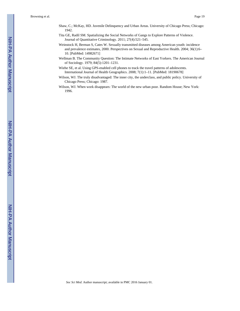- Shaw, C.; McKay, HD. Juvenile Delinquency and Urban Areas. University of Chicago Press; Chicago: 1942.
- Tita GE, Radil SM. Spatializing the Social Networks of Gangs to Explore Patterns of Violence. Journal of Quantitative Criminology. 2011; 27(4):521–545.
- Weinstock H, Berman S, Cates W. Sexually transmitted diseases among American youth: incidence and prevalence estimates, 2000. Perspectives on Sexual and Reproductive Health. 2004; 36(1):6– 10. [PubMed: 14982671]
- Wellman B. The Community Question: The Intimate Networks of East Yorkers. The American Journal of Sociology. 1979; 84(5):1201–1231.
- Wiehe SE, et al. Using GPS-enabled cell phones to track the travel patterns of adolescents. International Journal of Health Geographics. 2008; 7(1):1–11. [PubMed: 18190678]
- Wilson, WJ. The truly disadvantaged: The inner city, the underclass, and public policy. University of Chicago Press; Chicago: 1987.
- Wilson, WJ. When work disappears: The world of the new urban poor. Random House; New York: 1996.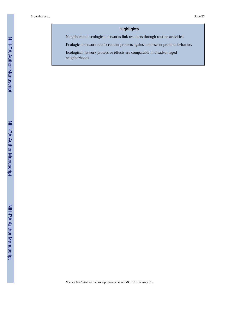# **Highlights**

Neighborhood ecological networks link residents through routine activities.

Ecological network reinforcement protects against adolescent problem behavior.

Ecological network protective effects are comparable in disadvantaged neighborhoods.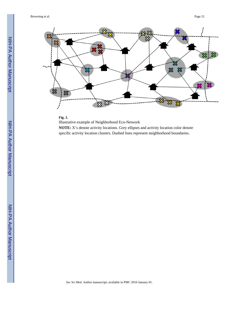

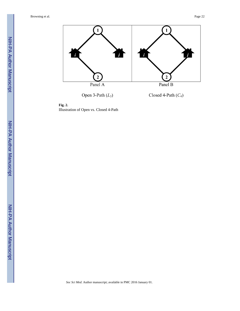

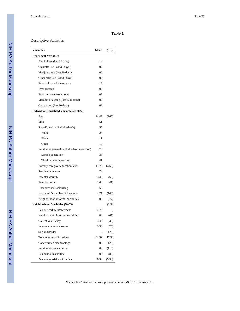#### **Table 1**

## Descriptive Statistics

| <b>Variables</b>                             | Mean  | (SD)          |
|----------------------------------------------|-------|---------------|
| <b>Dependent Variables</b>                   |       |               |
| Alcohol use (last 30 days)                   | .14   |               |
| Cigarette use (last 30 days)                 | .07   |               |
| Marijuana use (last 30 days)                 | .06   |               |
| Other drug use (last 30 days)                | .02   |               |
| Ever had sexual intercourse                  | .15   |               |
| Ever arrested                                | .09   |               |
| Ever run away from home                      | .07   |               |
| Member of a gang (last 12 months)            | .02   |               |
| Carry a gun (last 30 days)                   | .02   |               |
| Individual/Household Variables (N=822)       |       |               |
| Age                                          | 14.47 | (165)         |
| Male                                         | .51   |               |
| Race/Ethnicity (Ref.=Latino/a)               | .55   |               |
| White                                        | .24   |               |
| <b>Black</b>                                 | .11   |               |
| Other                                        | .10   |               |
| Immigrant generation (Ref.=first generation) | .24   |               |
| Second generation                            | .35   |               |
| Third or later generation                    | .41   |               |
| Primary caregiver education level            | 11.76 | (4.68)        |
| Residential tenure                           | .78   |               |
| Parental warmth                              | 3.46  | (66)          |
| Family conflict                              | 1.64  | (.41)         |
| Unsupervised socializing                     | .56   |               |
| Household's number of locations              | 4.77  | (160)         |
| Neighborhood informal social ties            | .03   | (.77)         |
| Neighborhood Variables (N=65)                |       | (2.94)        |
| Eco-network reinforcement                    | 7.79  | $\mathcal{E}$ |
| Neighborhood informal social ties            | .00   | (07)          |
| Collective efficacy                          | 3.45  | (.32)         |
| Intergenerational closure                    | 3.53  | (.26)         |
| Social disorder                              | 0     | (123)         |
| Total number of locations                    | 84.92 | 17.33         |
| Concentrated disadvantage                    | .00   | (126)         |
| Immigrant concentration                      | .00   | (110)         |
| Residential instability                      | .00   | (88)          |
| Percentage African American                  | 8.30  | (9.98)        |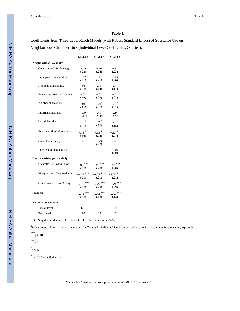#### **Table 2**

Coefficients from Three Level Rasch Models (with Robust Standard Errors) of Substance Use on Neighborhood Characteristics (Individual Level Coefficients Omitted).*<sup>a</sup>*

|                                      | Model 1                | Model 2               | Model 3                |
|--------------------------------------|------------------------|-----------------------|------------------------|
| <b>Neighborhood Variables</b>        |                        |                       |                        |
| Concentrated disadvantage            | $-.19$                 | $-.16$                | $-.21$                 |
|                                      | (.22)                  | (.24)                 | (.23)                  |
| Immigrant concentration              | $-.12$                 | $-.11$                | $-.13$                 |
|                                      | (.26)                  | (.26)                 | (.26)                  |
| Residential instability              | .08                    | .09                   | .04                    |
|                                      | (.13)                  | (.14)                 | (.14)                  |
| Percentage African American          | $-.02$                 | $-.02$                | $-.01$                 |
|                                      | (.02)                  | (.02)                 | (.02)                  |
| Number of locations                  | $-.01*$                | $-.01*$               | $-.01*$                |
|                                      | (.01)                  | (.01)                 | (.01)                  |
| Informal social ties                 | $-.19$                 | .41                   | .29                    |
|                                      | (2.11)                 | (2.20)                | (2.20)                 |
| Social disorder                      | $31 +$                 | $.32*$                | $29 +$                 |
|                                      | (.16)                  | (.16)                 | (.15)                  |
| Eco-network reinforcement            | $-.13$ <sup>**</sup>   | $-.13$ <sup>**</sup>  | $-.13$ <sup>**</sup>   |
|                                      | (.04)                  | (.04)                 | (.04)                  |
| Collective efficacy                  |                        | $-.23$<br>(.72)       | $-$                    |
| Intergenerational closure            |                        | $=$                   | $-.48$<br>(.80)        |
| <b>Item Severities (vs. alcohol)</b> |                        |                       |                        |
| Cigarette use (last 30 days)         | $-.98$ <sup>***</sup>  | $-.98$ <sup>***</sup> | $-.98$ <sup>***</sup>  |
|                                      | (.20)                  | (.20)                 | (.20)                  |
| Marijuana use (last 30 days)         | $-1.25$ ***            | $-1.25$ ***           | $-1.25$ <sup>***</sup> |
|                                      | (.21)                  | (.21)                 | (.21)                  |
| Other drug use (last 30 days)        | $-2.79$ ***            | $-2.79$ ***           | $-2.79$ ***            |
|                                      | (.29)                  | (.29)                 | (.29)                  |
| Intercept                            | $-2.42$ <sup>***</sup> | $-2.42$ ***           | $-2.42$ <sup>***</sup> |
|                                      | (.13)                  | (.13)                 | (.13)                  |
| Variance components                  |                        |                       |                        |
| Person level                         | 1.81                   | 1.81                  | 1.81                   |
| <b>Tract level</b>                   | .03                    | .03                   | .02                    |

Note: Neighborhood level n=65; person level n=830; item level n=3255.

*a* Robust standard errors are in parentheses. Coefficients for individual-level control variables are included in the Supplementary Appendix.

*\*\*\**p<.001,

*\*\**p<01,

*\** p<.05,

*+* p<. 10 (two-tailed tests).